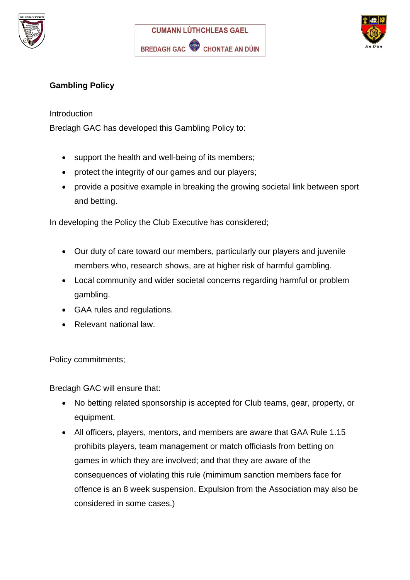





## **Gambling Policy**

## Introduction

Bredagh GAC has developed this Gambling Policy to:

- support the health and well-being of its members;
- protect the integrity of our games and our players;
- provide a positive example in breaking the growing societal link between sport and betting.

In developing the Policy the Club Executive has considered;

- Our duty of care toward our members, particularly our players and juvenile members who, research shows, are at higher risk of harmful gambling.
- Local community and wider societal concerns regarding harmful or problem gambling.
- GAA rules and regulations.
- Relevant national law.

Policy commitments;

Bredagh GAC will ensure that:

- No betting related sponsorship is accepted for Club teams, gear, property, or equipment.
- All officers, players, mentors, and members are aware that GAA Rule 1.15 prohibits players, team management or match officiasls from betting on games in which they are involved; and that they are aware of the consequences of violating this rule (mimimum sanction members face for offence is an 8 week suspension. Expulsion from the Association may also be considered in some cases.)